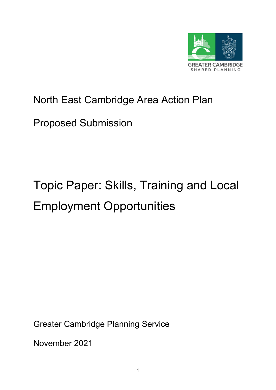

# North East Cambridge Area Action Plan

# Proposed Submission

# Topic Paper: Skills, Training and Local Employment Opportunities

Greater Cambridge Planning Service

November 2021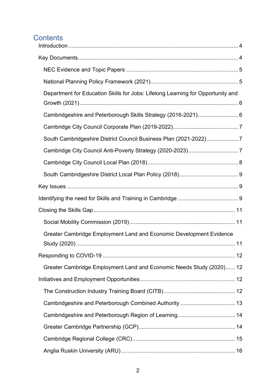# **Contents**

| Department for Education Skills for Jobs: Lifelong Learning for Opportunity and |  |
|---------------------------------------------------------------------------------|--|
| Cambridgeshire and Peterborough Skills Strategy (2016-2021) 6                   |  |
|                                                                                 |  |
| South Cambridgeshire District Council Business Plan (2021-2022) 7               |  |
|                                                                                 |  |
|                                                                                 |  |
|                                                                                 |  |
|                                                                                 |  |
|                                                                                 |  |
|                                                                                 |  |
|                                                                                 |  |
| Greater Cambridge Employment Land and Economic Development Evidence             |  |
|                                                                                 |  |
| Greater Cambridge Employment Land and Economic Needs Study (2020) 12            |  |
|                                                                                 |  |
|                                                                                 |  |
|                                                                                 |  |
|                                                                                 |  |
|                                                                                 |  |
|                                                                                 |  |
|                                                                                 |  |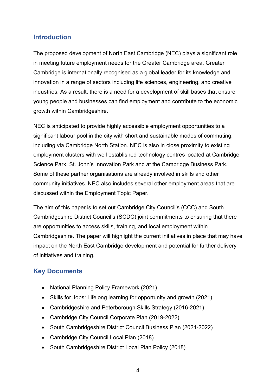#### <span id="page-3-0"></span>**Introduction**

The proposed development of North East Cambridge (NEC) plays a significant role in meeting future employment needs for the Greater Cambridge area. Greater Cambridge is internationally recognised as a global leader for its knowledge and innovation in a range of sectors including life sciences, engineering, and creative industries. As a result, there is a need for a development of skill bases that ensure young people and businesses can find employment and contribute to the economic growth within Cambridgeshire.

NEC is anticipated to provide highly accessible employment opportunities to a significant labour pool in the city with short and sustainable modes of commuting, including via Cambridge North Station. NEC is also in close proximity to existing employment clusters with well established technology centres located at Cambridge Science Park, St. John's Innovation Park and at the Cambridge Business Park. Some of these partner organisations are already involved in skills and other community initiatives. NEC also includes several other employment areas that are discussed within the Employment Topic Paper.

The aim of this paper is to set out Cambridge City Council's (CCC) and South Cambridgeshire District Council's (SCDC) joint commitments to ensuring that there are opportunities to access skills, training, and local employment within Cambridgeshire. The paper will highlight the current initiatives in place that may have impact on the North East Cambridge development and potential for further delivery of initiatives and training.

#### <span id="page-3-1"></span>**Key Documents**

- National Planning Policy Framework (2021)
- Skills for Jobs: Lifelong learning for opportunity and growth (2021)
- Cambridgeshire and Peterborough Skills Strategy (2016-2021)
- Cambridge City Council Corporate Plan (2019-2022)
- South Cambridgeshire District Council Business Plan (2021-2022)
- Cambridge City Council Local Plan (2018)
- South Cambridgeshire District Local Plan Policy (2018)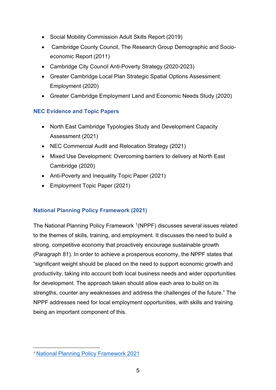- Social Mobility Commission Adult Skills Report (2019)
- Cambridge County Council, The Research Group Demographic and Socioeconomic Report (2011)
- Cambridge City Council Anti-Poverty Strategy (2020-2023)
- Greater Cambridge Local Plan Strategic Spatial Options Assessment: Employment (2020)
- Greater Cambridge Employment Land and Economic Needs Study (2020)

#### <span id="page-4-0"></span>**NEC Evidence and Topic Papers**

- North East Cambridge Typologies Study and Development Capacity Assessment (2021)
- NEC Commercial Audit and Relocation Strategy (2021)
- Mixed Use Development: Overcoming barriers to delivery at North East Cambridge (2020)
- Anti-Poverty and Inequality Topic Paper (2021)
- Employment Topic Paper (2021)

#### <span id="page-4-1"></span>**National Planning Policy Framework (2021)**

The National Planning Policy Framework <sup>[1](#page-4-2)</sup>(NPPF) discusses several issues related to the themes of skills, training, and employment. It discusses the need to build a strong, competitive economy that proactively encourage sustainable growth (Paragraph 81). In order to achieve a prosperous economy, the NPPF states that "significant weight should be placed on the need to support economic growth and productivity, taking into account both local business needs and wider opportunities for development. The approach taken should allow each area to build on its strengths, counter any weaknesses and address the challenges of the future." The NPPF addresses need for local employment opportunities, with skills and training being an important component of this.

<span id="page-4-2"></span><sup>1</sup> [National Planning Policy Framework 2021](https://www.gov.uk/government/publications/national-planning-policy-framework--2)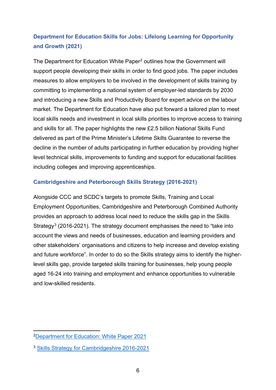# <span id="page-5-0"></span>**Department for Education Skills for Jobs: Lifelong Learning for Opportunity and Growth (2021)**

The Department for Education White Paper<sup>[2](#page-5-2)</sup> outlines how the Government will support people developing their skills in order to find good jobs. The paper includes measures to allow employers to be involved in the development of skills training by committing to implementing a national system of employer-led standards by 2030 and introducing a new Skills and Productivity Board for expert advice on the labour market. The Department for Education have also put forward a tailored plan to meet local skills needs and investment in local skills priorities to improve access to training and skills for all. The paper highlights the new £2.5 billion National Skills Fund delivered as part of the Prime Minister's Lifetime Skills Guarantee to reverse the decline in the number of adults participating in further education by providing higher level technical skills, improvements to funding and support for educational facilities including colleges and improving apprenticeships.

#### <span id="page-5-1"></span>**Cambridgeshire and Peterborough Skills Strategy (2016-2021)**

Alongside CCC and SCDC's targets to promote Skills, Training and Local Employment Opportunities, Cambridgeshire and Peterborough Combined Authority provides an approach to address local need to reduce the skills gap in the Skills Strategy<sup>[3](#page-5-3)</sup> (2016-2021). The strategy document emphasises the need to "take into account the views and needs of businesses, education and learning providers and other stakeholders' organisations and citizens to help increase and develop existing and future workforce". In order to do so the Skills strategy aims to identify the higherlevel skills gap, provide targeted skills training for businesses, help young people aged 16-24 into training and employment and enhance opportunities to vulnerable and low-skilled residents.

<span id="page-5-2"></span>[<sup>2</sup>Department for Education: White Paper 2021](https://assets.publishing.service.gov.uk/government/uploads/system/uploads/attachment_data/file/957856/Skills_for_jobs_lifelong_learning_for_opportunity_and_growth__web_version_.pdf)

<span id="page-5-3"></span><sup>3</sup> [Skills Strategy for Cambridgeshire 2016-2021](https://www.supportcambridgeshire.org.uk/docs/skills-strategy-for-cambridgeshire-2016-2021.pdf)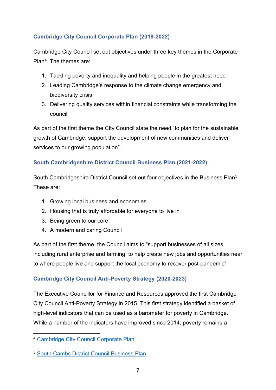#### <span id="page-6-0"></span>**Cambridge City Council Corporate Plan (2019-2022)**

Cambridge City Council set out objectives under three key themes in the Corporate Pla[n4.](#page-6-3) The themes are:

- 1. Tackling poverty and inequality and helping people in the greatest need
- 2. Leading Cambridge's response to the climate change emergency and biodiversity crisis
- 3. Delivering quality services within financial constraints while transforming the council

As part of the first theme the City Council state the need "to plan for the sustainable growth of Cambridge, support the development of new communities and deliver services to our growing population".

#### <span id="page-6-1"></span>**South Cambridgeshire District Council Business Plan (2021-2022)**

South Cambridgeshire District Council set out four objectives in the Business Pla[n5.](#page-6-4) These are:

- 1. Growing local business and economies
- 2. Housing that is truly affordable for everyone to live in
- 3. Being green to our core
- 4. A modern and caring Council

As part of the first theme, the Council aims to "support businesses of all sizes, including rural enterprise and farming, to help create new jobs and opportunities near to where people live and support the local economy to recover post-pandemic".

#### <span id="page-6-2"></span>**Cambridge City Council Anti-Poverty Strategy (2020-2023)**

The Executive Councillor for Finance and Resources approved the first Cambridge City Council Anti-Poverty Strategy in 2015. This first strategy identified a basket of high-level indicators that can be used as a barometer for poverty in Cambridge. While a number of the indicators have improved since 2014, poverty remains a

<span id="page-6-3"></span><sup>4</sup> [Cambridge City Council Corporate Plan](https://www.cambridge.gov.uk/media/7005/corporate-plan-2019-22.pdf) 

<span id="page-6-4"></span><sup>5</sup> [South Cambs District Council Business Plan](https://www.scambs.gov.uk/your-council-and-democracy/performance-and-plans/our-business-plan/)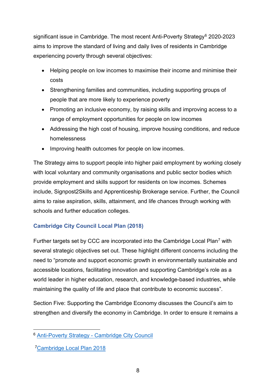significant issue in Cambridge. The most recent Anti-Poverty Strategy<sup>[6](#page-7-1)</sup> 2020-2023 aims to improve the standard of living and daily lives of residents in Cambridge experiencing poverty through several objectives:

- Helping people on low incomes to maximise their income and minimise their costs
- Strengthening families and communities, including supporting groups of people that are more likely to experience poverty
- Promoting an inclusive economy, by raising skills and improving access to a range of employment opportunities for people on low incomes
- Addressing the high cost of housing, improve housing conditions, and reduce homelessness
- Improving health outcomes for people on low incomes.

The Strategy aims to support people into higher paid employment by working closely with local voluntary and community organisations and public sector bodies which provide employment and skills support for residents on low incomes. Schemes include, Signpost2Skills and Apprenticeship Brokerage service. Further, the Council aims to raise aspiration, skills, attainment, and life chances through working with schools and further education colleges.

#### <span id="page-7-0"></span>**Cambridge City Council Local Plan (2018)**

Further targets set by CCC are incorporated into the Cambridge Local Plan[7](#page-7-2) with several strategic objectives set out. These highlight different concerns including the need to "promote and support economic growth in environmentally sustainable and accessible locations, facilitating innovation and supporting Cambridge's role as a world leader in higher education, research, and knowledge-based industries, while maintaining the quality of life and place that contribute to economic success".

Section Five: Supporting the Cambridge Economy discusses the Council's aim to strengthen and diversify the economy in Cambridge. In order to ensure it remains a

<span id="page-7-1"></span><sup>6</sup> Anti-Poverty Strategy - [Cambridge City Council](https://www.cambridge.gov.uk/anti-poverty-strategy)

<span id="page-7-2"></span>[<sup>7</sup>Cambridge Local Plan 2018](https://www.cambridge.gov.uk/media/6890/local-plan-2018.pdf)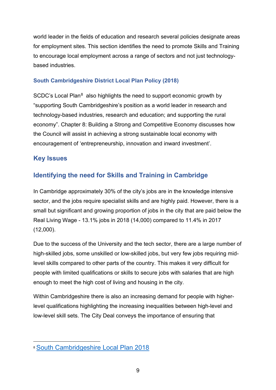world leader in the fields of education and research several policies designate areas for employment sites. This section identifies the need to promote Skills and Training to encourage local employment across a range of sectors and not just technologybased industries.

#### <span id="page-8-0"></span>**South Cambridgeshire District Local Plan Policy (2018)**

SCDC's Local Plan<sup>[8](#page-8-3)</sup> also highlights the need to support economic growth by "supporting South Cambridgeshire's position as a world leader in research and technology-based industries, research and education; and supporting the rural economy". Chapter 8: Building a Strong and Competitive Economy discusses how the Council will assist in achieving a strong sustainable local economy with encouragement of 'entrepreneurship, innovation and inward investment'.

#### <span id="page-8-1"></span>**Key Issues**

# <span id="page-8-2"></span>**Identifying the need for Skills and Training in Cambridge**

In Cambridge approximately 30% of the city's jobs are in the knowledge intensive sector, and the jobs require specialist skills and are highly paid. However, there is a small but significant and growing proportion of jobs in the city that are paid below the Real Living Wage - 13.1% jobs in 2018 (14,000) compared to 11.4% in 2017 (12,000).

Due to the success of the University and the tech sector, there are a large number of high-skilled jobs, some unskilled or low-skilled jobs, but very few jobs requiring midlevel skills compared to other parts of the country. This makes it very difficult for people with limited qualifications or skills to secure jobs with salaries that are high enough to meet the high cost of living and housing in the city.

Within Cambridgeshire there is also an increasing demand for people with higherlevel qualifications highlighting the increasing inequalities between high-level and low-level skill sets. The City Deal conveys the importance of ensuring that

<span id="page-8-3"></span><sup>8</sup> [South Cambridgeshire Local Plan 2018](https://www.scambs.gov.uk/planning/local-plan-and-neighbourhood-planning/the-adopted-development-plan/south-cambridgeshire-local-plan-2018/)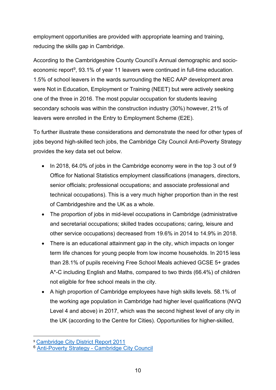employment opportunities are provided with appropriate learning and training, reducing the skills gap in Cambridge.

According to the Cambridgeshire County Council's Annual demographic and socioeconomic report<sup>9</sup>, 93.1% of year 11 leavers were continued in full-time education. 1.5% of school leavers in the wards surrounding the NEC AAP development area were Not in Education, Employment or Training (NEET) but were actively seeking one of the three in 2016. The most popular occupation for students leaving secondary schools was within the construction industry (30%) however, 21% of leavers were enrolled in the Entry to Employment Scheme (E2E).

To further illustrate these considerations and demonstrate the need for other types of jobs beyond high-skilled tech jobs, the Cambridge City Council Anti-Poverty Strategy provides the key data set out below.

- In 2018, 64.0% of jobs in the Cambridge economy were in the top 3 out of 9 Office for National Statistics employment classifications (managers, directors, senior officials; professional occupations; and associate professional and technical occupations). This is a very much higher proportion than in the rest of Cambridgeshire and the UK as a whole.
- The proportion of jobs in mid-level occupations in Cambridge (administrative and secretarial occupations; skilled trades occupations; caring, leisure and other service occupations) decreased from 19.6% in 2014 to 14.9% in 2018.
- There is an educational attainment gap in the city, which impacts on longer term life chances for young people from low income households. In 2015 less than 28.1% of pupils receiving Free School Meals achieved GCSE 5+ grades A\*-C including English and Maths, compared to two thirds (66.4%) of children not eligible for free school meals in the city.
- A high proportion of Cambridge employees have high skills levels. 58.1% of the working age population in Cambridge had higher level qualifications (NVQ Level 4 and above) in 2017, which was the second highest level of any city in the UK (according to the Centre for Cities). Opportunities for higher-skilled,

<span id="page-9-0"></span><sup>9</sup> [Cambridge City District Report 2011](https://cambridgeshireinsight.org.uk/wp-content/uploads/2017/10/Cambridge-City-District-Report-2011.pdf)

<sup>6</sup> Anti-Poverty Strategy - [Cambridge City Council](https://www.cambridge.gov.uk/anti-poverty-strategy)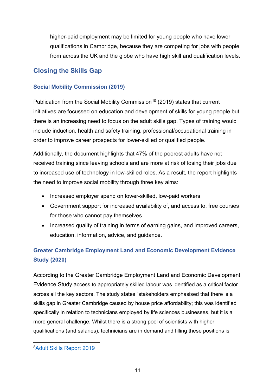higher-paid employment may be limited for young people who have lower qualifications in Cambridge, because they are competing for jobs with people from across the UK and the globe who have high skill and qualification levels.

#### <span id="page-10-0"></span>**Closing the Skills Gap**

#### <span id="page-10-1"></span>**Social Mobility Commission (2019)**

Publication from the Social Mobility Commission<sup>[10](#page-10-3)</sup> (2019) states that current initiatives are focussed on education and development of skills for young people but there is an increasing need to focus on the adult skills gap. Types of training would include induction, health and safety training, professional/occupational training in order to improve career prospects for lower-skilled or qualified people.

Additionally, the document highlights that 47% of the poorest adults have not received training since leaving schools and are more at risk of losing their jobs due to increased use of technology in low-skilled roles. As a result, the report highlights the need to improve social mobility through three key aims:

- Increased employer spend on lower-skilled, low-paid workers
- Government support for increased availability of, and access to, free courses for those who cannot pay themselves
- Increased quality of training in terms of earning gains, and improved careers, education, information, advice, and guidance.

# <span id="page-10-2"></span>**Greater Cambridge Employment Land and Economic Development Evidence Study (2020)**

According to the Greater Cambridge Employment Land and Economic Development Evidence Study access to appropriately skilled labour was identified as a critical factor across all the key sectors. The study states "stakeholders emphasised that there is a skills gap in Greater Cambridge caused by house price affordability; this was identified specifically in relation to technicians employed by life sciences businesses, but it is a more general challenge. Whilst there is a strong pool of scientists with higher qualifications (and salaries), technicians are in demand and filling these positions is

<span id="page-10-3"></span>[<sup>8</sup>Adult Skills Report 2019](https://assets.publishing.service.gov.uk/government/uploads/system/uploads/attachment_data/file/774085/Adult_skills_report_2019.pdf)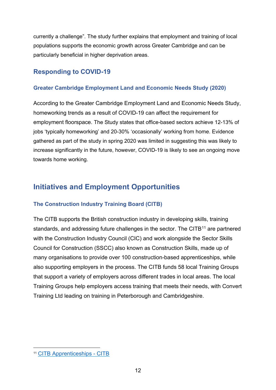currently a challenge". The study further explains that employment and training of local populations supports the economic growth across Greater Cambridge and can be particularly beneficial in higher deprivation areas.

### <span id="page-11-0"></span>**Responding to COVID-19**

#### <span id="page-11-1"></span>**Greater Cambridge Employment Land and Economic Needs Study (2020)**

According to the Greater Cambridge Employment Land and Economic Needs Study, homeworking trends as a result of COVID-19 can affect the requirement for employment floorspace. The Study states that office-based sectors achieve 12-13% of jobs 'typically homeworking' and 20-30% 'occasionally' working from home. Evidence gathered as part of the study in spring 2020 was limited in suggesting this was likely to increase significantly in the future, however, COVID-19 is likely to see an ongoing move towards home working.

# <span id="page-11-2"></span>**Initiatives and Employment Opportunities**

#### <span id="page-11-3"></span>**The Construction Industry Training Board (CITB)**

The CITB supports the British construction industry in developing skills, training standards, and addressing future challenges in the sector. The CITB<sup>[11](#page-11-4)</sup> are partnered with the Construction Industry Council (CIC) and work alongside the Sector Skills Council for Construction (SSCC) also known as Construction Skills, made up of many organisations to provide over 100 construction-based apprenticeships, while also supporting employers in the process. The CITB funds 58 local Training Groups that support a variety of employers across different trades in local areas. The local Training Groups help employers access training that meets their needs, with Convert Training Ltd leading on training in Peterborough and Cambridgeshire.

<span id="page-11-4"></span><sup>11</sup> [CITB Apprenticeships -](https://www.citb.co.uk/courses-and-qualifications/citb-apprenticeships/) CITB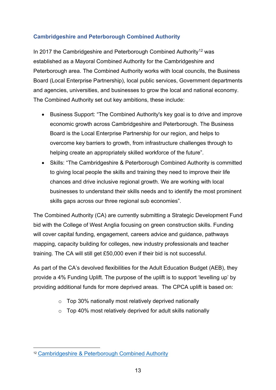#### <span id="page-12-0"></span>**Cambridgeshire and Peterborough Combined Authority**

In 2017 the Cambridgeshire and Peterborough Combined Authority<sup>[12](#page-12-1)</sup> was established as a Mayoral Combined Authority for the Cambridgeshire and Peterborough area. The Combined Authority works with local councils, the Business Board (Local Enterprise Partnership), local public services, Government departments and agencies, universities, and businesses to grow the local and national economy. The Combined Authority set out key ambitions, these include:

- Business Support: "The Combined Authority's key goal is to drive and improve economic growth across Cambridgeshire and Peterborough. The Business Board is the Local Enterprise Partnership for our region, and helps to overcome key barriers to growth, from infrastructure challenges through to helping create an appropriately skilled workforce of the future".
- Skills: "The Cambridgeshire & Peterborough Combined Authority is committed to giving local people the skills and training they need to improve their life chances and drive inclusive regional growth. We are working with local businesses to understand their skills needs and to identify the most prominent skills gaps across our three regional sub economies".

The Combined Authority (CA) are currently submitting a Strategic Development Fund bid with the College of West Anglia focusing on green construction skills. Funding will cover capital funding, engagement, careers advice and guidance, pathways mapping, capacity building for colleges, new industry professionals and teacher training. The CA will still get £50,000 even if their bid is not successful.

As part of the CA's devolved flexibilities for the Adult Education Budget (AEB), they provide a 4% Funding Uplift. The purpose of the uplift is to support 'levelling up' by providing additional funds for more deprived areas. The CPCA uplift is based on:

- $\circ$  Top 30% nationally most relatively deprived nationally
- $\circ$  Top 40% most relatively deprived for adult skills nationally

<span id="page-12-1"></span><sup>12</sup> [Cambridgeshire & Peterborough Combined Authority](https://cambridgeshirepeterborough-ca.gov.uk/what-we-deliver/)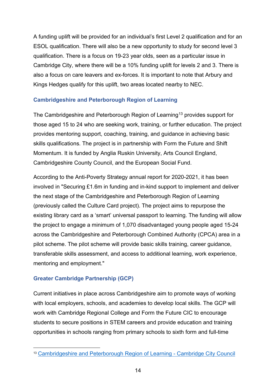A funding uplift will be provided for an individual's first Level 2 qualification and for an ESOL qualification. There will also be a new opportunity to study for second level 3 qualification. There is a focus on 19-23 year olds, seen as a particular issue in Cambridge City, where there will be a 10% funding uplift for levels 2 and 3. There is also a focus on care leavers and ex-forces. It is important to note that Arbury and Kings Hedges qualify for this uplift, two areas located nearby to NEC.

#### <span id="page-13-0"></span>**Cambridgeshire and Peterborough Region of Learning**

The Cambridgeshire and Peterborough Region of Learning<sup>[13](#page-13-2)</sup> provides support for those aged 15 to 24 who are seeking work, training, or further education. The project provides mentoring support, coaching, training, and guidance in achieving basic skills qualifications. The project is in partnership with Form the Future and Shift Momentum. It is funded by Anglia Ruskin University, Arts Council England, Cambridgeshire County Council, and the European Social Fund.

According to the Anti-Poverty Strategy annual report for 2020-2021, it has been involved in "Securing £1.6m in funding and in-kind support to implement and deliver the next stage of the Cambridgeshire and Peterborough Region of Learning (previously called the Culture Card project). The project aims to repurpose the existing library card as a 'smart' universal passport to learning. The funding will allow the project to engage a minimum of 1,070 disadvantaged young people aged 15-24 across the Cambridgeshire and Peterborough Combined Authority (CPCA) area in a pilot scheme. The pilot scheme will provide basic skills training, career guidance, transferable skills assessment, and access to additional learning, work experience, mentoring and employment."

#### <span id="page-13-1"></span>**Greater Cambridge Partnership (GCP)**

Current initiatives in place across Cambridgeshire aim to promote ways of working with local employers, schools, and academies to develop local skills. The GCP will work with Cambridge Regional College and Form the Future CIC to encourage students to secure positions in STEM careers and provide education and training opportunities in schools ranging from primary schools to sixth form and full-time

<span id="page-13-2"></span><sup>13</sup> [Cambridgeshire and Peterborough Region of Learning -](https://www.cambridge.gov.uk/cambridgeshire-and-peterborough-region-of-learning) Cambridge City Council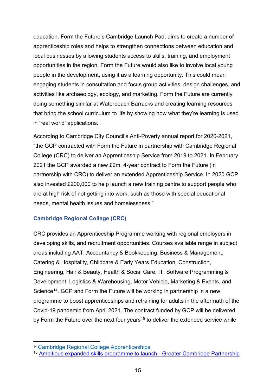education. Form the Future's Cambridge Launch Pad, aims to create a number of apprenticeship roles and helps to strengthen connections between education and local businesses by allowing students access to skills, training, and employment opportunities in the region. Form the Future would also like to involve local young people in the development, using it as a learning opportunity. This could mean engaging students in consultation and focus group activities, design challenges, and activities like archaeology, ecology, and marketing. Form the Future are currently doing something similar at Waterbeach Barracks and creating learning resources that bring the school curriculum to life by showing how what they're learning is used in 'real world' applications.

According to Cambridge City Council's Anti-Poverty annual report for 2020-2021, "the GCP contracted with Form the Future in partnership with Cambridge Regional College (CRC) to deliver an Apprenticeship Service from 2019 to 2021. In February 2021 the GCP awarded a new £2m, 4-year contract to Form the Future (in partnership with CRC) to deliver an extended Apprenticeship Service. In 2020 GCP also invested £200,000 to help launch a new training centre to support people who are at high risk of not getting into work, such as those with special educational needs, mental health issues and homelessness."

#### <span id="page-14-0"></span>**Cambridge Regional College (CRC)**

CRC provides an Apprenticeship Programme working with regional employers in developing skills, and recruitment opportunities. Courses available range in subject areas including AAT, Accountancy & Bookkeeping, Business & Management, Catering & Hospitality, Childcare & Early Years Education, Construction, Engineering, Hair & Beauty, Health & Social Care, IT, Software Programming & Development, Logistics & Warehousing, Motor Vehicle, Marketing & Events, and Science<sup>[14](#page-14-1)</sup>. GCP and Form the Future will be working in partnership in a new programme to boost apprenticeships and retraining for adults in the aftermath of the Covid-19 pandemic from April 2021. The contract funded by GCP will be delivered by Form the Future over the next four years<sup>[15](#page-14-2)</sup> to deliver the extended service while

<span id="page-14-1"></span><sup>14</sup> [Cambridge Regional College Apprenticeships](https://www.camre.ac.uk/apprenticeships/)

<span id="page-14-2"></span><sup>15</sup> [Ambitious expanded skills programme to launch -](https://www.greatercambridge.org.uk/news/ambitious-expanded-skills-programme-to-launch) Greater Cambridge Partnership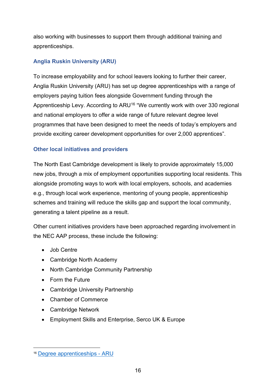also working with businesses to support them through additional training and apprenticeships.

#### <span id="page-15-0"></span>**Anglia Ruskin University (ARU)**

To increase employability and for school leavers looking to further their career, Anglia Ruskin University (ARU) has set up degree apprenticeships with a range of employers paying tuition fees alongside Government funding through the Apprenticeship Levy. According to ARU<sup>[16](#page-15-2)</sup> "We currently work with over 330 regional and national employers to offer a wide range of future relevant degree level programmes that have been designed to meet the needs of today's employers and provide exciting career development opportunities for over 2,000 apprentices".

#### <span id="page-15-1"></span>**Other local initiatives and providers**

The North East Cambridge development is likely to provide approximately 15,000 new jobs, through a mix of employment opportunities supporting local residents. This alongside promoting ways to work with local employers, schools, and academies e.g., through local work experience, mentoring of young people, apprenticeship schemes and training will reduce the skills gap and support the local community, generating a talent pipeline as a result.

Other current initiatives providers have been approached regarding involvement in the NEC AAP process, these include the following:

- Job Centre
- Cambridge North Academy
- North Cambridge Community Partnership
- Form the Future
- Cambridge University Partnership
- Chamber of Commerce
- Cambridge Network
- Employment Skills and Enterprise, Serco UK & Europe

<span id="page-15-2"></span><sup>16</sup> [Degree apprenticeships -](https://aru.ac.uk/study/degree-apprenticeships) ARU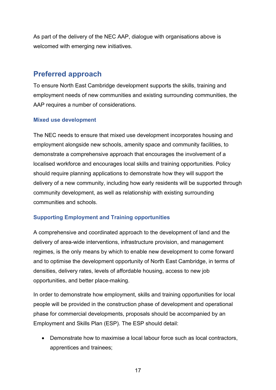As part of the delivery of the NEC AAP, dialogue with organisations above is welcomed with emerging new initiatives.

# <span id="page-16-0"></span>**Preferred approach**

To ensure North East Cambridge development supports the skills, training and employment needs of new communities and existing surrounding communities, the AAP requires a number of considerations.

#### <span id="page-16-1"></span>**Mixed use development**

The NEC needs to ensure that mixed use development incorporates housing and employment alongside new schools, amenity space and community facilities, to demonstrate a comprehensive approach that encourages the involvement of a localised workforce and encourages local skills and training opportunities. Policy should require planning applications to demonstrate how they will support the delivery of a new community, including how early residents will be supported through community development, as well as relationship with existing surrounding communities and schools.

#### <span id="page-16-2"></span>**Supporting Employment and Training opportunities**

A comprehensive and coordinated approach to the development of land and the delivery of area-wide interventions, infrastructure provision, and management regimes, is the only means by which to enable new development to come forward and to optimise the development opportunity of North East Cambridge, in terms of densities, delivery rates, levels of affordable housing, access to new job opportunities, and better place-making.

In order to demonstrate how employment, skills and training opportunities for local people will be provided in the construction phase of development and operational phase for commercial developments, proposals should be accompanied by an Employment and Skills Plan (ESP). The ESP should detail:

• Demonstrate how to maximise a local labour force such as local contractors, apprentices and trainees;